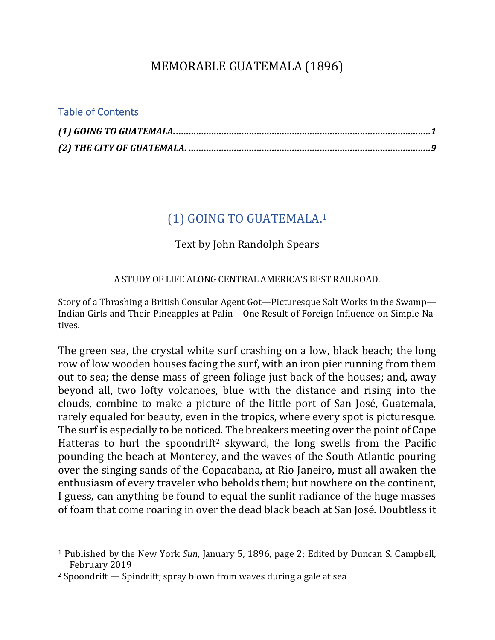# MEMORABLE GUATEMALA (1896)

### Table of Contents

 $\overline{a}$ 

# (1) GOING TO GUATEMALA.<sup>1</sup>

### Text by John Randolph Spears

#### A STUDY OF LIFE ALONG CENTRAL AMERICA'S BEST RAILROAD.

Story of a Thrashing a British Consular Agent Got—Picturesque Salt Works in the Swamp— Indian Girls and Their Pineapples at Palin—One Result of Foreign Influence on Simple Natives.

The green sea, the crystal white surf crashing on a low, black beach; the long row of low wooden houses facing the surf, with an iron pier running from them out to sea; the dense mass of green foliage just back of the houses; and, away beyond all, two lofty volcanoes, blue with the distance and rising into the clouds, combine to make a picture of the little port of San José, Guatemala, rarely equaled for beauty, even in the tropics, where every spot is picturesque. The surf is especially to be noticed. The breakers meeting over the point of Cape Hatteras to hurl the spoondrift<sup>2</sup> skyward, the long swells from the Pacific pounding the beach at Monterey, and the waves of the South Atlantic pouring over the singing sands of the Copacabana, at Rio Janeiro, must all awaken the enthusiasm of every traveler who beholds them; but nowhere on the continent, I guess, can anything be found to equal the sunlit radiance of the huge masses of foam that come roaring in over the dead black beach at San José. Doubtless it

<sup>&</sup>lt;sup>1</sup> Published by the New York *Sun*, January 5, 1896, page 2; Edited by Duncan S. Campbell, February 2019

 $2$  Spoondrift  $-$  Spindrift; spray blown from waves during a gale at sea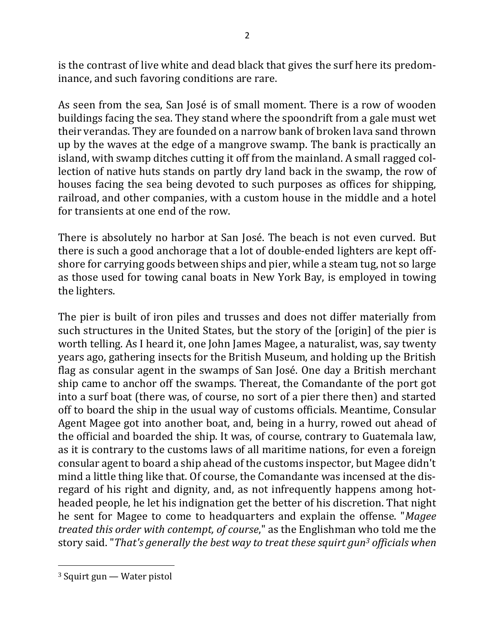is the contrast of live white and dead black that gives the surf here its predominance, and such favoring conditions are rare.

As seen from the sea, San José is of small moment. There is a row of wooden buildings facing the sea. They stand where the spoondrift from a gale must wet their verandas. They are founded on a narrow bank of broken lava sand thrown up by the waves at the edge of a mangrove swamp. The bank is practically an island, with swamp ditches cutting it off from the mainland. A small ragged collection of native huts stands on partly dry land back in the swamp, the row of houses facing the sea being devoted to such purposes as offices for shipping, railroad, and other companies, with a custom house in the middle and a hotel for transients at one end of the row.

There is absolutely no harbor at San José. The beach is not even curved. But there is such a good anchorage that a lot of double-ended lighters are kept offshore for carrying goods between ships and pier, while a steam tug, not so large as those used for towing canal boats in New York Bay, is employed in towing the lighters.

The pier is built of iron piles and trusses and does not differ materially from such structures in the United States, but the story of the [origin] of the pier is worth telling. As I heard it, one John James Magee, a naturalist, was, say twenty years ago, gathering insects for the British Museum, and holding up the British flag as consular agent in the swamps of San José. One day a British merchant ship came to anchor off the swamps. Thereat, the Comandante of the port got into a surf boat (there was, of course, no sort of a pier there then) and started off to board the ship in the usual way of customs officials. Meantime, Consular Agent Magee got into another boat, and, being in a hurry, rowed out ahead of the official and boarded the ship. It was, of course, contrary to Guatemala law, as it is contrary to the customs laws of all maritime nations, for even a foreign consular agent to board a ship ahead of the customs inspector, but Magee didn't mind a little thing like that. Of course, the Comandante was incensed at the disregard of his right and dignity, and, as not infrequently happens among hotheaded people, he let his indignation get the better of his discretion. That night he sent for Magee to come to headquarters and explain the offense. "*Magee treated this order with contempt, of course*," as the Englishman who told me the story said. "That's generally the best way to treat these squirt gun<sup>3</sup> officials when

 $3$  Squirt gun — Water pistol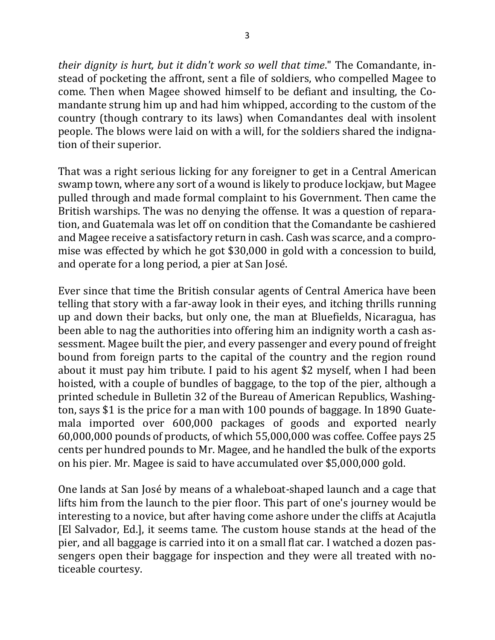*their dignity is hurt, but it didn't work so well that time.*" The Comandante, instead of pocketing the affront, sent a file of soldiers, who compelled Magee to come. Then when Magee showed himself to be defiant and insulting, the Comandante strung him up and had him whipped, according to the custom of the country (though contrary to its laws) when Comandantes deal with insolent people. The blows were laid on with a will, for the soldiers shared the indignation of their superior.

That was a right serious licking for any foreigner to get in a Central American swamp town, where any sort of a wound is likely to produce lockjaw, but Magee pulled through and made formal complaint to his Government. Then came the British warships. The was no denying the offense. It was a question of reparation, and Guatemala was let off on condition that the Comandante be cashiered and Magee receive a satisfactory return in cash. Cash was scarce, and a compromise was effected by which he got \$30,000 in gold with a concession to build, and operate for a long period, a pier at San José.

Ever since that time the British consular agents of Central America have been telling that story with a far-away look in their eyes, and itching thrills running up and down their backs, but only one, the man at Bluefields, Nicaragua, has been able to nag the authorities into offering him an indignity worth a cash assessment. Magee built the pier, and every passenger and every pound of freight bound from foreign parts to the capital of the country and the region round about it must pay him tribute. I paid to his agent \$2 myself, when I had been hoisted, with a couple of bundles of baggage, to the top of the pier, although a printed schedule in Bulletin 32 of the Bureau of American Republics, Washington, says \$1 is the price for a man with 100 pounds of baggage. In 1890 Guatemala imported over 600,000 packages of goods and exported nearly  $60,000,000$  pounds of products, of which  $55,000,000$  was coffee. Coffee pays 25 cents per hundred pounds to Mr. Magee, and he handled the bulk of the exports on his pier. Mr. Magee is said to have accumulated over \$5,000,000 gold.

One lands at San José by means of a whaleboat-shaped launch and a cage that lifts him from the launch to the pier floor. This part of one's journey would be interesting to a novice, but after having come ashore under the cliffs at Acajutla [El Salvador, Ed.], it seems tame. The custom house stands at the head of the pier, and all baggage is carried into it on a small flat car. I watched a dozen passengers open their baggage for inspection and they were all treated with noticeable courtesy.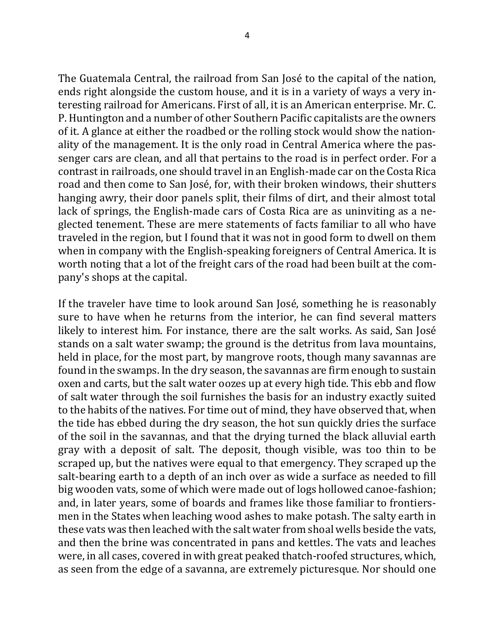The Guatemala Central, the railroad from San José to the capital of the nation, ends right alongside the custom house, and it is in a variety of ways a very interesting railroad for Americans. First of all, it is an American enterprise. Mr. C. P. Huntington and a number of other Southern Pacific capitalists are the owners of it. A glance at either the roadbed or the rolling stock would show the nationality of the management. It is the only road in Central America where the passenger cars are clean, and all that pertains to the road is in perfect order. For a contrast in railroads, one should travel in an English-made car on the Costa Rica road and then come to San José, for, with their broken windows, their shutters hanging awry, their door panels split, their films of dirt, and their almost total lack of springs, the English-made cars of Costa Rica are as uninviting as a neglected tenement. These are mere statements of facts familiar to all who have traveled in the region, but I found that it was not in good form to dwell on them when in company with the English-speaking foreigners of Central America. It is worth noting that a lot of the freight cars of the road had been built at the company's shops at the capital.

If the traveler have time to look around San José, something he is reasonably sure to have when he returns from the interior, he can find several matters likely to interest him. For instance, there are the salt works. As said, San José stands on a salt water swamp; the ground is the detritus from lava mountains, held in place, for the most part, by mangrove roots, though many savannas are found in the swamps. In the dry season, the savannas are firm enough to sustain oxen and carts, but the salt water oozes up at every high tide. This ebb and flow of salt water through the soil furnishes the basis for an industry exactly suited to the habits of the natives. For time out of mind, they have observed that, when the tide has ebbed during the dry season, the hot sun quickly dries the surface of the soil in the savannas, and that the drying turned the black alluvial earth gray with a deposit of salt. The deposit, though visible, was too thin to be scraped up, but the natives were equal to that emergency. They scraped up the salt-bearing earth to a depth of an inch over as wide a surface as needed to fill big wooden vats, some of which were made out of logs hollowed canoe-fashion; and, in later years, some of boards and frames like those familiar to frontiersmen in the States when leaching wood ashes to make potash. The salty earth in these vats was then leached with the salt water from shoal wells beside the vats, and then the brine was concentrated in pans and kettles. The vats and leaches were, in all cases, covered in with great peaked thatch-roofed structures, which, as seen from the edge of a savanna, are extremely picturesque. Nor should one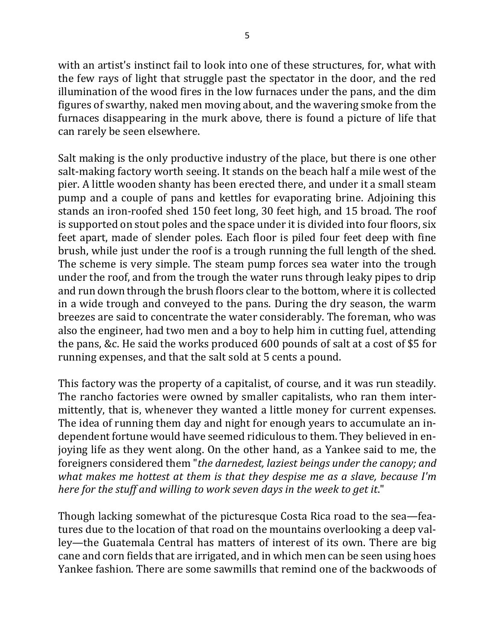with an artist's instinct fail to look into one of these structures, for, what with the few rays of light that struggle past the spectator in the door, and the red illumination of the wood fires in the low furnaces under the pans, and the dim figures of swarthy, naked men moving about, and the wavering smoke from the furnaces disappearing in the murk above, there is found a picture of life that can rarely be seen elsewhere.

Salt making is the only productive industry of the place, but there is one other salt-making factory worth seeing. It stands on the beach half a mile west of the pier. A little wooden shanty has been erected there, and under it a small steam pump and a couple of pans and kettles for evaporating brine. Adjoining this stands an iron-roofed shed 150 feet long, 30 feet high, and 15 broad. The roof is supported on stout poles and the space under it is divided into four floors, six feet apart, made of slender poles. Each floor is piled four feet deep with fine brush, while just under the roof is a trough running the full length of the shed. The scheme is very simple. The steam pump forces sea water into the trough under the roof, and from the trough the water runs through leaky pipes to drip and run down through the brush floors clear to the bottom, where it is collected in a wide trough and conveyed to the pans. During the dry season, the warm breezes are said to concentrate the water considerably. The foreman, who was also the engineer, had two men and a boy to help him in cutting fuel, attending the pans, &c. He said the works produced 600 pounds of salt at a cost of \$5 for running expenses, and that the salt sold at 5 cents a pound.

This factory was the property of a capitalist, of course, and it was run steadily. The rancho factories were owned by smaller capitalists, who ran them intermittently, that is, whenever they wanted a little money for current expenses. The idea of running them day and night for enough years to accumulate an independent fortune would have seemed ridiculous to them. They believed in enjoying life as they went along. On the other hand, as a Yankee said to me, the foreigners considered them "the darnedest, laziest beings under the canopy; and *what makes me hottest at them is that they despise me as a slave, because I'm here for the stuff and willing to work seven days in the week to get it.*"

Though lacking somewhat of the picturesque Costa Rica road to the sea—features due to the location of that road on the mountains overlooking a deep valley—the Guatemala Central has matters of interest of its own. There are big cane and corn fields that are irrigated, and in which men can be seen using hoes Yankee fashion. There are some sawmills that remind one of the backwoods of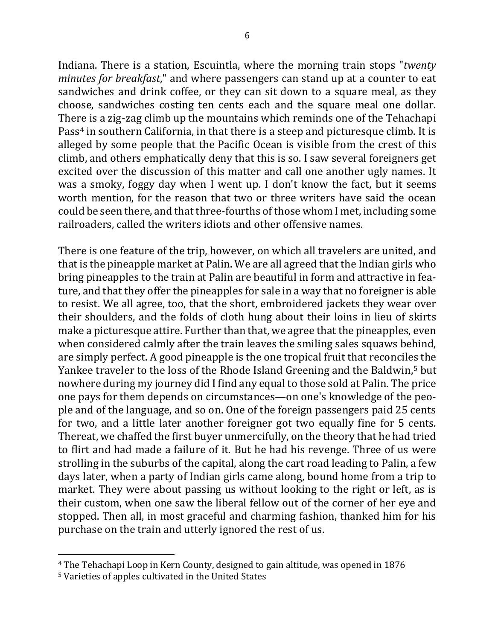6

Indiana. There is a station, Escuintla, where the morning train stops "*twenty minutes for breakfast*," and where passengers can stand up at a counter to eat sandwiches and drink coffee, or they can sit down to a square meal, as they choose, sandwiches costing ten cents each and the square meal one dollar. There is a zig-zag climb up the mountains which reminds one of the Tehachapi Pass<sup>4</sup> in southern California, in that there is a steep and picturesque climb. It is alleged by some people that the Pacific Ocean is visible from the crest of this climb, and others emphatically deny that this is so. I saw several foreigners get excited over the discussion of this matter and call one another ugly names. It was a smoky, foggy day when I went up. I don't know the fact, but it seems worth mention, for the reason that two or three writers have said the ocean could be seen there, and that three-fourths of those whom I met, including some railroaders, called the writers idiots and other offensive names.

There is one feature of the trip, however, on which all travelers are united, and that is the pineapple market at Palin. We are all agreed that the Indian girls who bring pineapples to the train at Palin are beautiful in form and attractive in feature, and that they offer the pineapples for sale in a way that no foreigner is able to resist. We all agree, too, that the short, embroidered jackets they wear over their shoulders, and the folds of cloth hung about their loins in lieu of skirts make a picturesque attire. Further than that, we agree that the pineapples, even when considered calmly after the train leaves the smiling sales squaws behind, are simply perfect. A good pineapple is the one tropical fruit that reconciles the Yankee traveler to the loss of the Rhode Island Greening and the Baldwin,<sup>5</sup> but nowhere during my journey did I find any equal to those sold at Palin. The price one pays for them depends on circumstances—on one's knowledge of the people and of the language, and so on. One of the foreign passengers paid 25 cents for two, and a little later another foreigner got two equally fine for 5 cents. Thereat, we chaffed the first buyer unmercifully, on the theory that he had tried to flirt and had made a failure of it. But he had his revenge. Three of us were strolling in the suburbs of the capital, along the cart road leading to Palin, a few days later, when a party of Indian girls came along, bound home from a trip to market. They were about passing us without looking to the right or left, as is their custom, when one saw the liberal fellow out of the corner of her eye and stopped. Then all, in most graceful and charming fashion, thanked him for his purchase on the train and utterly ignored the rest of us.

<sup>&</sup>lt;sup>4</sup> The Tehachapi Loop in Kern County, designed to gain altitude, was opened in 1876

<sup>&</sup>lt;sup>5</sup> Varieties of apples cultivated in the United States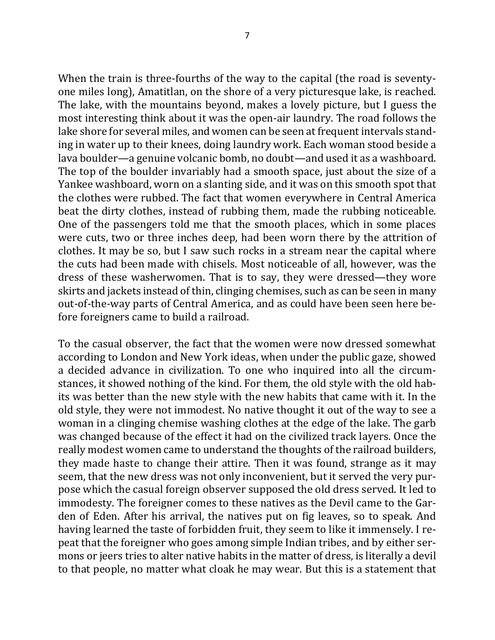When the train is three-fourths of the way to the capital (the road is seventyone miles long), Amatitlan, on the shore of a very picturesque lake, is reached. The lake, with the mountains beyond, makes a lovely picture, but I guess the most interesting think about it was the open-air laundry. The road follows the lake shore for several miles, and women can be seen at frequent intervals standing in water up to their knees, doing laundry work. Each woman stood beside a lava boulder—a genuine volcanic bomb, no doubt—and used it as a washboard. The top of the boulder invariably had a smooth space, just about the size of a Yankee washboard, worn on a slanting side, and it was on this smooth spot that the clothes were rubbed. The fact that women everywhere in Central America beat the dirty clothes, instead of rubbing them, made the rubbing noticeable. One of the passengers told me that the smooth places, which in some places were cuts, two or three inches deep, had been worn there by the attrition of clothes. It may be so, but I saw such rocks in a stream near the capital where the cuts had been made with chisels. Most noticeable of all, however, was the dress of these washerwomen. That is to say, they were dressed—they wore skirts and jackets instead of thin, clinging chemises, such as can be seen in many out-of-the-way parts of Central America, and as could have been seen here before foreigners came to build a railroad.

To the casual observer, the fact that the women were now dressed somewhat according to London and New York ideas, when under the public gaze, showed a decided advance in civilization. To one who inquired into all the circumstances, it showed nothing of the kind. For them, the old style with the old habits was better than the new style with the new habits that came with it. In the old style, they were not immodest. No native thought it out of the way to see a woman in a clinging chemise washing clothes at the edge of the lake. The garb was changed because of the effect it had on the civilized track layers. Once the really modest women came to understand the thoughts of the railroad builders, they made haste to change their attire. Then it was found, strange as it may seem, that the new dress was not only inconvenient, but it served the very purpose which the casual foreign observer supposed the old dress served. It led to immodesty. The foreigner comes to these natives as the Devil came to the Garden of Eden. After his arrival, the natives put on fig leaves, so to speak. And having learned the taste of forbidden fruit, they seem to like it immensely. I repeat that the foreigner who goes among simple Indian tribes, and by either sermons or jeers tries to alter native habits in the matter of dress, is literally a devil to that people, no matter what cloak he may wear. But this is a statement that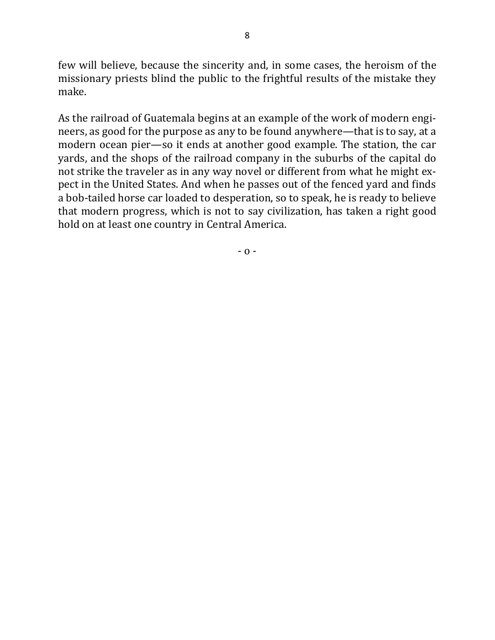few will believe, because the sincerity and, in some cases, the heroism of the missionary priests blind the public to the frightful results of the mistake they make.

As the railroad of Guatemala begins at an example of the work of modern engineers, as good for the purpose as any to be found anywhere—that is to say, at a modern ocean pier—so it ends at another good example. The station, the car yards, and the shops of the railroad company in the suburbs of the capital do not strike the traveler as in any way novel or different from what he might expect in the United States. And when he passes out of the fenced yard and finds a bob-tailed horse car loaded to desperation, so to speak, he is ready to believe that modern progress, which is not to say civilization, has taken a right good hold on at least one country in Central America.

 $- 0 -$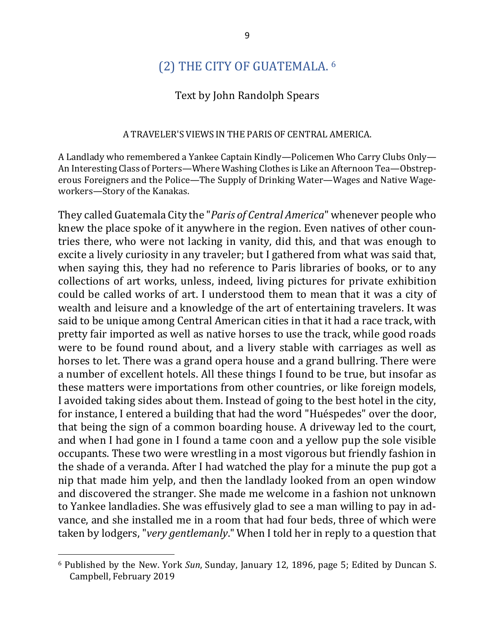## (2) THE CITY OF GUATEMALA. <sup>6</sup>

#### Text by John Randolph Spears

#### A TRAVELER'S VIEWS IN THE PARIS OF CENTRAL AMERICA.

A Landlady who remembered a Yankee Captain Kindly—Policemen Who Carry Clubs Only— An Interesting Class of Porters—Where Washing Clothes is Like an Afternoon Tea—Obstreperous Foreigners and the Police—The Supply of Drinking Water—Wages and Native Wageworkers-Story of the Kanakas.

They called Guatemala City the "*Paris of Central America*" whenever people who knew the place spoke of it anywhere in the region. Even natives of other countries there, who were not lacking in vanity, did this, and that was enough to excite a lively curiosity in any traveler; but I gathered from what was said that, when saying this, they had no reference to Paris libraries of books, or to any collections of art works, unless, indeed, living pictures for private exhibition could be called works of art. I understood them to mean that it was a city of wealth and leisure and a knowledge of the art of entertaining travelers. It was said to be unique among Central American cities in that it had a race track, with pretty fair imported as well as native horses to use the track, while good roads were to be found round about, and a livery stable with carriages as well as horses to let. There was a grand opera house and a grand bullring. There were a number of excellent hotels. All these things I found to be true, but insofar as these matters were importations from other countries, or like foreign models, I avoided taking sides about them. Instead of going to the best hotel in the city, for instance, I entered a building that had the word "Huéspedes" over the door, that being the sign of a common boarding house. A driveway led to the court, and when I had gone in I found a tame coon and a yellow pup the sole visible occupants. These two were wrestling in a most vigorous but friendly fashion in the shade of a veranda. After I had watched the play for a minute the pup got a nip that made him yelp, and then the landlady looked from an open window and discovered the stranger. She made me welcome in a fashion not unknown to Yankee landladies. She was effusively glad to see a man willing to pay in advance, and she installed me in a room that had four beds, three of which were taken by lodgers, "*very gentlemanly*." When I told her in reply to a question that

<sup>&</sup>lt;sup>6</sup> Published by the New. York Sun, Sunday, January 12, 1896, page 5; Edited by Duncan S. Campbell, February 2019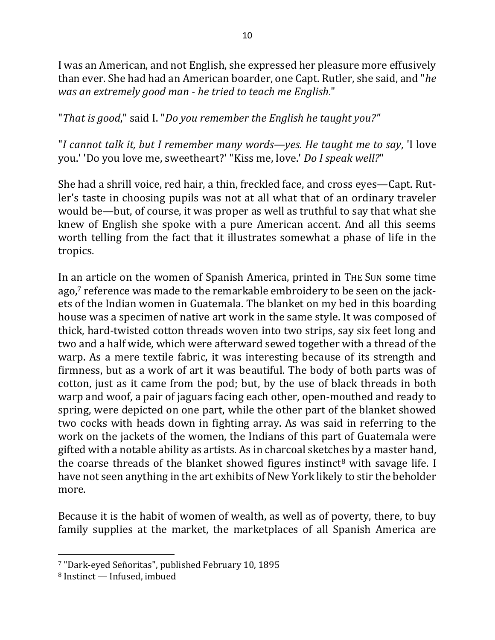I was an American, and not English, she expressed her pleasure more effusively than ever. She had had an American boarder, one Capt. Rutler, she said, and "*he was an extremely good man - he tried to teach me English."* 

"That is good," said I. "Do you remember the English he taught you?"

"*I* cannot talk it, but *I* remember many words—yes. He taught me to say, 'I love you.' 'Do you love me, sweetheart?' "Kiss me, love.' *Do I speak well?*"

She had a shrill voice, red hair, a thin, freckled face, and cross eyes—Capt. Rutler's taste in choosing pupils was not at all what that of an ordinary traveler would be—but, of course, it was proper as well as truthful to say that what she knew of English she spoke with a pure American accent. And all this seems worth telling from the fact that it illustrates somewhat a phase of life in the tropics.

In an article on the women of Spanish America, printed in THE SUN some time ago,<sup>7</sup> reference was made to the remarkable embroidery to be seen on the jackets of the Indian women in Guatemala. The blanket on my bed in this boarding house was a specimen of native art work in the same style. It was composed of thick, hard-twisted cotton threads woven into two strips, say six feet long and two and a half wide, which were afterward sewed together with a thread of the warp. As a mere textile fabric, it was interesting because of its strength and firmness, but as a work of art it was beautiful. The body of both parts was of cotton, just as it came from the pod; but, by the use of black threads in both warp and woof, a pair of jaguars facing each other, open-mouthed and ready to spring, were depicted on one part, while the other part of the blanket showed two cocks with heads down in fighting array. As was said in referring to the work on the jackets of the women, the Indians of this part of Guatemala were gifted with a notable ability as artists. As in charcoal sketches by a master hand, the coarse threads of the blanket showed figures instinct<sup>8</sup> with savage life. I have not seen anything in the art exhibits of New York likely to stir the beholder more.

Because it is the habit of women of wealth, as well as of poverty, there, to buy family supplies at the market, the marketplaces of all Spanish America are

<sup>&</sup>lt;sup>7</sup> "Dark-eyed Señoritas", published February 10, 1895

 $8$  Instinct — Infused, imbued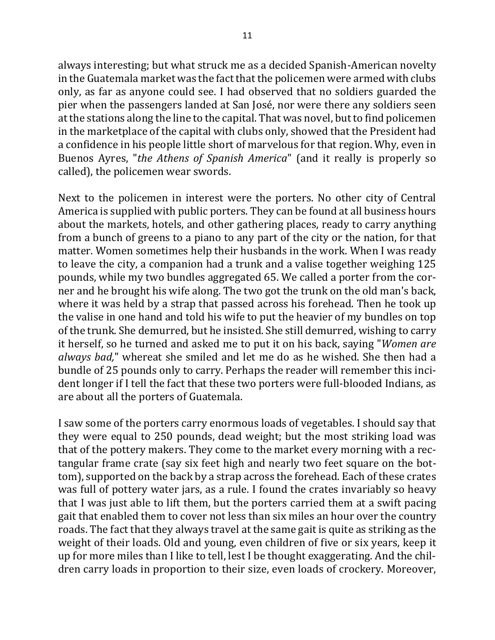always interesting; but what struck me as a decided Spanish-American novelty in the Guatemala market was the fact that the policemen were armed with clubs only, as far as anyone could see. I had observed that no soldiers guarded the pier when the passengers landed at San José, nor were there any soldiers seen at the stations along the line to the capital. That was novel, but to find policemen in the marketplace of the capital with clubs only, showed that the President had a confidence in his people little short of marvelous for that region. Why, even in Buenos Ayres, "*the Athens of Spanish America*" (and it really is properly so called), the policemen wear swords.

Next to the policemen in interest were the porters. No other city of Central America is supplied with public porters. They can be found at all business hours about the markets, hotels, and other gathering places, ready to carry anything from a bunch of greens to a piano to any part of the city or the nation, for that matter. Women sometimes help their husbands in the work. When I was ready to leave the city, a companion had a trunk and a valise together weighing 125 pounds, while my two bundles aggregated 65. We called a porter from the corner and he brought his wife along. The two got the trunk on the old man's back, where it was held by a strap that passed across his forehead. Then he took up the valise in one hand and told his wife to put the heavier of my bundles on top of the trunk. She demurred, but he insisted. She still demurred, wishing to carry it herself, so he turned and asked me to put it on his back, saying "*Women are always bad*," whereat she smiled and let me do as he wished. She then had a bundle of 25 pounds only to carry. Perhaps the reader will remember this incident longer if I tell the fact that these two porters were full-blooded Indians, as are about all the porters of Guatemala.

I saw some of the porters carry enormous loads of vegetables. I should say that they were equal to 250 pounds, dead weight; but the most striking load was that of the pottery makers. They come to the market every morning with a rectangular frame crate (say six feet high and nearly two feet square on the bottom), supported on the back by a strap across the forehead. Each of these crates was full of pottery water jars, as a rule. I found the crates invariably so heavy that I was just able to lift them, but the porters carried them at a swift pacing gait that enabled them to cover not less than six miles an hour over the country roads. The fact that they always travel at the same gait is quite as striking as the weight of their loads. Old and young, even children of five or six years, keep it up for more miles than I like to tell, lest I be thought exaggerating. And the children carry loads in proportion to their size, even loads of crockery. Moreover,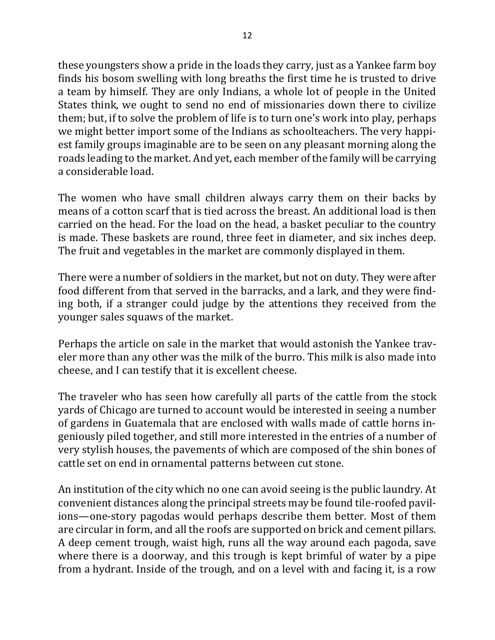these youngsters show a pride in the loads they carry, just as a Yankee farm boy finds his bosom swelling with long breaths the first time he is trusted to drive a team by himself. They are only Indians, a whole lot of people in the United States think, we ought to send no end of missionaries down there to civilize them; but, if to solve the problem of life is to turn one's work into play, perhaps we might better import some of the Indians as schoolteachers. The very happiest family groups imaginable are to be seen on any pleasant morning along the roads leading to the market. And yet, each member of the family will be carrying a considerable load.

The women who have small children always carry them on their backs by means of a cotton scarf that is tied across the breast. An additional load is then carried on the head. For the load on the head, a basket peculiar to the country is made. These baskets are round, three feet in diameter, and six inches deep. The fruit and vegetables in the market are commonly displayed in them.

There were a number of soldiers in the market, but not on duty. They were after food different from that served in the barracks, and a lark, and they were finding both, if a stranger could judge by the attentions they received from the younger sales squaws of the market.

Perhaps the article on sale in the market that would astonish the Yankee traveler more than any other was the milk of the burro. This milk is also made into cheese, and I can testify that it is excellent cheese.

The traveler who has seen how carefully all parts of the cattle from the stock yards of Chicago are turned to account would be interested in seeing a number of gardens in Guatemala that are enclosed with walls made of cattle horns ingeniously piled together, and still more interested in the entries of a number of very stylish houses, the pavements of which are composed of the shin bones of cattle set on end in ornamental patterns between cut stone.

An institution of the city which no one can avoid seeing is the public laundry. At convenient distances along the principal streets may be found tile-roofed pavilions—one-story pagodas would perhaps describe them better. Most of them are circular in form, and all the roofs are supported on brick and cement pillars. A deep cement trough, waist high, runs all the way around each pagoda, save where there is a doorway, and this trough is kept brimful of water by a pipe from a hydrant. Inside of the trough, and on a level with and facing it, is a row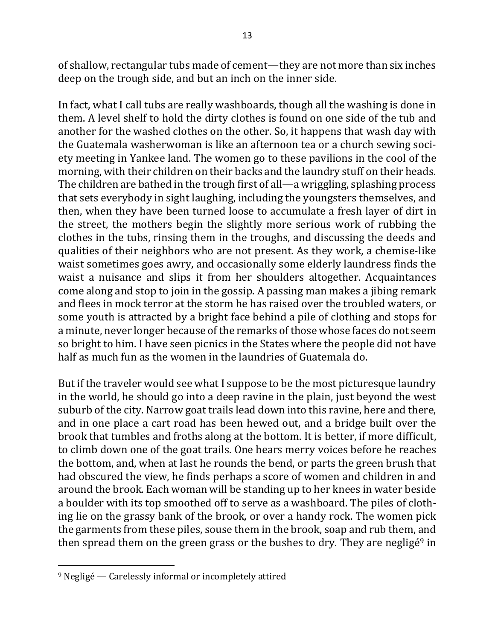of shallow, rectangular tubs made of cement—they are not more than six inches deep on the trough side, and but an inch on the inner side.

In fact, what I call tubs are really washboards, though all the washing is done in them. A level shelf to hold the dirty clothes is found on one side of the tub and another for the washed clothes on the other. So, it happens that wash day with the Guatemala washerwoman is like an afternoon tea or a church sewing society meeting in Yankee land. The women go to these pavilions in the cool of the morning, with their children on their backs and the laundry stuff on their heads. The children are bathed in the trough first of all—a wriggling, splashing process that sets everybody in sight laughing, including the youngsters themselves, and then, when they have been turned loose to accumulate a fresh layer of dirt in the street, the mothers begin the slightly more serious work of rubbing the clothes in the tubs, rinsing them in the troughs, and discussing the deeds and qualities of their neighbors who are not present. As they work, a chemise-like waist sometimes goes awry, and occasionally some elderly laundress finds the waist a nuisance and slips it from her shoulders altogether. Acquaintances come along and stop to join in the gossip. A passing man makes a jibing remark and flees in mock terror at the storm he has raised over the troubled waters, or some youth is attracted by a bright face behind a pile of clothing and stops for a minute, never longer because of the remarks of those whose faces do not seem so bright to him. I have seen picnics in the States where the people did not have half as much fun as the women in the laundries of Guatemala do.

But if the traveler would see what I suppose to be the most picturesque laundry in the world, he should go into a deep ravine in the plain, just beyond the west suburb of the city. Narrow goat trails lead down into this ravine, here and there, and in one place a cart road has been hewed out, and a bridge built over the brook that tumbles and froths along at the bottom. It is better, if more difficult, to climb down one of the goat trails. One hears merry voices before he reaches the bottom, and, when at last he rounds the bend, or parts the green brush that had obscured the view, he finds perhaps a score of women and children in and around the brook. Each woman will be standing up to her knees in water beside a boulder with its top smoothed off to serve as a washboard. The piles of clothing lie on the grassy bank of the brook, or over a handy rock. The women pick the garments from these piles, souse them in the brook, soap and rub them, and then spread them on the green grass or the bushes to dry. They are negligé<sup>9</sup> in

 $9$  Negligé — Carelessly informal or incompletely attired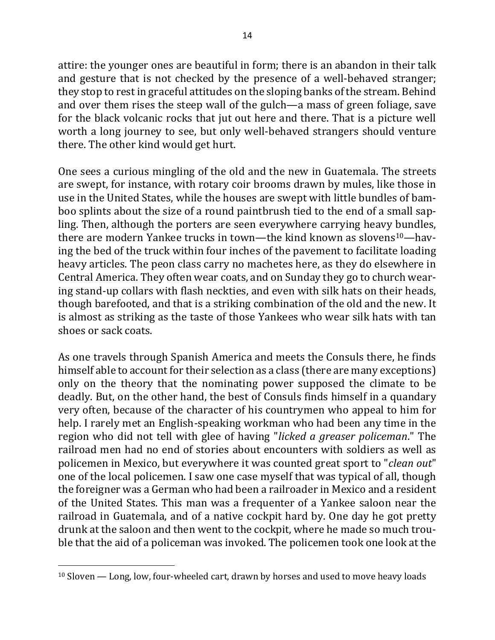attire: the younger ones are beautiful in form; there is an abandon in their talk and gesture that is not checked by the presence of a well-behaved stranger; they stop to rest in graceful attitudes on the sloping banks of the stream. Behind and over them rises the steep wall of the gulch—a mass of green foliage, save for the black volcanic rocks that jut out here and there. That is a picture well worth a long journey to see, but only well-behaved strangers should venture there. The other kind would get hurt.

One sees a curious mingling of the old and the new in Guatemala. The streets are swept, for instance, with rotary coir brooms drawn by mules, like those in use in the United States, while the houses are swept with little bundles of bamboo splints about the size of a round paintbrush tied to the end of a small sapling. Then, although the porters are seen everywhere carrying heavy bundles, there are modern Yankee trucks in town—the kind known as slovens<sup>10</sup>—having the bed of the truck within four inches of the pavement to facilitate loading heavy articles. The peon class carry no machetes here, as they do elsewhere in Central America. They often wear coats, and on Sunday they go to church wearing stand-up collars with flash neckties, and even with silk hats on their heads, though barefooted, and that is a striking combination of the old and the new. It is almost as striking as the taste of those Yankees who wear silk hats with tan shoes or sack coats.

As one travels through Spanish America and meets the Consuls there, he finds himself able to account for their selection as a class (there are many exceptions) only on the theory that the nominating power supposed the climate to be deadly. But, on the other hand, the best of Consuls finds himself in a quandary very often, because of the character of his countrymen who appeal to him for help. I rarely met an English-speaking workman who had been any time in the region who did not tell with glee of having "*licked a greaser policeman*." The railroad men had no end of stories about encounters with soldiers as well as policemen in Mexico, but everywhere it was counted great sport to "*clean out*" one of the local policemen. I saw one case myself that was typical of all, though the foreigner was a German who had been a railroader in Mexico and a resident of the United States. This man was a frequenter of a Yankee saloon near the railroad in Guatemala, and of a native cockpit hard by. One day he got pretty drunk at the saloon and then went to the cockpit, where he made so much trouble that the aid of a policeman was invoked. The policemen took one look at the

 $10$  Sloven  $-$  Long, low, four-wheeled cart, drawn by horses and used to move heavy loads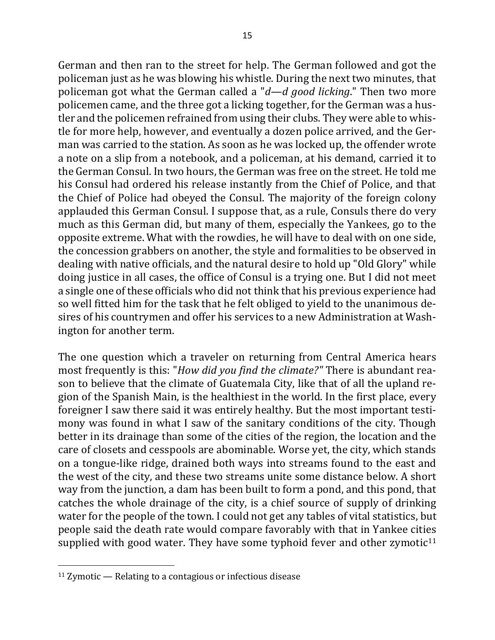German and then ran to the street for help. The German followed and got the policeman just as he was blowing his whistle. During the next two minutes, that policeman got what the German called a "*d—d good licking*." Then two more policemen came, and the three got a licking together, for the German was a hustler and the policemen refrained from using their clubs. They were able to whistle for more help, however, and eventually a dozen police arrived, and the German was carried to the station. As soon as he was locked up, the offender wrote a note on a slip from a notebook, and a policeman, at his demand, carried it to the German Consul. In two hours, the German was free on the street. He told me his Consul had ordered his release instantly from the Chief of Police, and that the Chief of Police had obeyed the Consul. The majority of the foreign colony applauded this German Consul. I suppose that, as a rule, Consuls there do very much as this German did, but many of them, especially the Yankees, go to the opposite extreme. What with the rowdies, he will have to deal with on one side, the concession grabbers on another, the style and formalities to be observed in dealing with native officials, and the natural desire to hold up "Old Glory" while doing justice in all cases, the office of Consul is a trying one. But I did not meet a single one of these officials who did not think that his previous experience had so well fitted him for the task that he felt obliged to yield to the unanimous desires of his countrymen and offer his services to a new Administration at Washington for another term.

The one question which a traveler on returning from Central America hears most frequently is this: "*How did you find the climate?"* There is abundant reason to believe that the climate of Guatemala City, like that of all the upland region of the Spanish Main, is the healthiest in the world. In the first place, every foreigner I saw there said it was entirely healthy. But the most important testimony was found in what I saw of the sanitary conditions of the city. Though better in its drainage than some of the cities of the region, the location and the care of closets and cesspools are abominable. Worse yet, the city, which stands on a tongue-like ridge, drained both ways into streams found to the east and the west of the city, and these two streams unite some distance below. A short way from the junction, a dam has been built to form a pond, and this pond, that catches the whole drainage of the city, is a chief source of supply of drinking water for the people of the town. I could not get any tables of vital statistics, but people said the death rate would compare favorably with that in Yankee cities supplied with good water. They have some typhoid fever and other zymotic<sup>11</sup>

 $11$  Zymotic  $-$  Relating to a contagious or infectious disease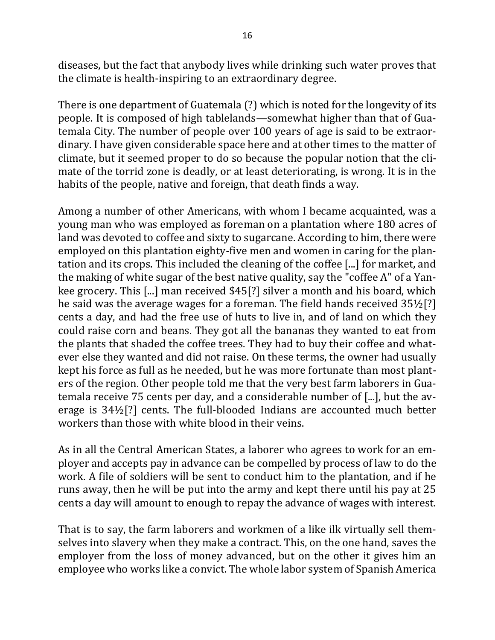diseases, but the fact that anybody lives while drinking such water proves that the climate is health-inspiring to an extraordinary degree.

There is one department of Guatemala (?) which is noted for the longevity of its people. It is composed of high tablelands—somewhat higher than that of Guatemala City. The number of people over 100 years of age is said to be extraordinary. I have given considerable space here and at other times to the matter of climate, but it seemed proper to do so because the popular notion that the climate of the torrid zone is deadly, or at least deteriorating, is wrong. It is in the habits of the people, native and foreign, that death finds a way.

Among a number of other Americans, with whom I became acquainted, was a young man who was employed as foreman on a plantation where 180 acres of land was devoted to coffee and sixty to sugarcane. According to him, there were employed on this plantation eighty-five men and women in caring for the plantation and its crops. This included the cleaning of the coffee [...] for market, and the making of white sugar of the best native quality, say the "coffee A" of a Yankee grocery. This [...] man received \$45[?] silver a month and his board, which he said was the average wages for a foreman. The field hands received  $35\frac{1}{2}$ [?] cents a day, and had the free use of huts to live in, and of land on which they could raise corn and beans. They got all the bananas they wanted to eat from the plants that shaded the coffee trees. They had to buy their coffee and whatever else they wanted and did not raise. On these terms, the owner had usually kept his force as full as he needed, but he was more fortunate than most planters of the region. Other people told me that the very best farm laborers in Guatemala receive 75 cents per day, and a considerable number of [...], but the average is  $34\frac{1}{2}$ [?] cents. The full-blooded Indians are accounted much better workers than those with white blood in their veins.

As in all the Central American States, a laborer who agrees to work for an employer and accepts pay in advance can be compelled by process of law to do the work. A file of soldiers will be sent to conduct him to the plantation, and if he runs away, then he will be put into the army and kept there until his pay at 25 cents a day will amount to enough to repay the advance of wages with interest.

That is to say, the farm laborers and workmen of a like ilk virtually sell themselves into slavery when they make a contract. This, on the one hand, saves the employer from the loss of money advanced, but on the other it gives him an employee who works like a convict. The whole labor system of Spanish America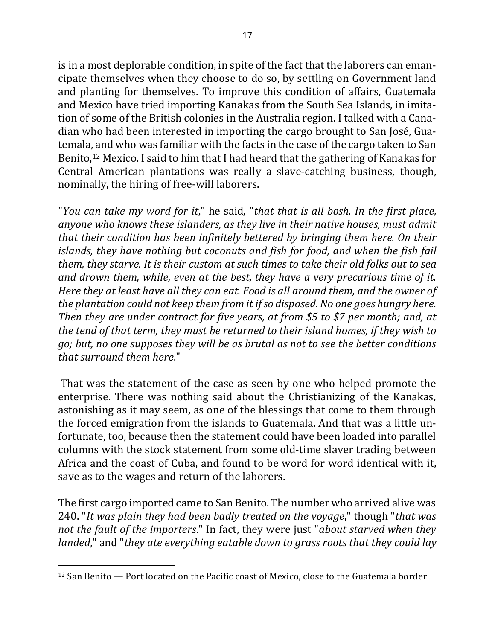is in a most deplorable condition, in spite of the fact that the laborers can emancipate themselves when they choose to do so, by settling on Government land and planting for themselves. To improve this condition of affairs, Guatemala and Mexico have tried importing Kanakas from the South Sea Islands, in imitation of some of the British colonies in the Australia region. I talked with a Canadian who had been interested in importing the cargo brought to San José, Guatemala, and who was familiar with the facts in the case of the cargo taken to San Benito,<sup>12</sup> Mexico. I said to him that I had heard that the gathering of Kanakas for Central American plantations was really a slave-catching business, though, nominally, the hiring of free-will laborers.

"*You can take my word for it*," he said, "*that that is all bosh. In the first place,*  anyone who knows these islanders, as they live in their native houses, must admit that their condition has been infinitely bettered by bringing them here. On their *islands, they have nothing but coconuts and fish for food, and when the fish fail them, they starve. It is their custom at such times to take their old folks out to sea and drown them, while, even at the best, they have a very precarious time of it. Here they at least have all they can eat. Food is all around them, and the owner of the plantation could not keep them from it if so disposed. No one goes hungry here. Then they* are *under contract for five years, at from* \$5 to \$7 per month; and, at *the tend of that term, they must be returned to their island homes, if they wish to go;* but, no one supposes they will be as brutal as not to see the better conditions *that surround them here*."

That was the statement of the case as seen by one who helped promote the enterprise. There was nothing said about the Christianizing of the Kanakas, astonishing as it may seem, as one of the blessings that come to them through the forced emigration from the islands to Guatemala. And that was a little unfortunate, too, because then the statement could have been loaded into parallel columns with the stock statement from some old-time slaver trading between Africa and the coast of Cuba, and found to be word for word identical with it, save as to the wages and return of the laborers.

The first cargo imported came to San Benito. The number who arrived alive was 240. "It was plain they had been badly treated on the voyage," though "that was *not the fault of the importers.*" In fact, they were just "*about starved when they landed*," and "*they ate everything eatable down to grass roots that they could lay* 

 $\overline{a}$  $12$  San Benito  $-$  Port located on the Pacific coast of Mexico, close to the Guatemala border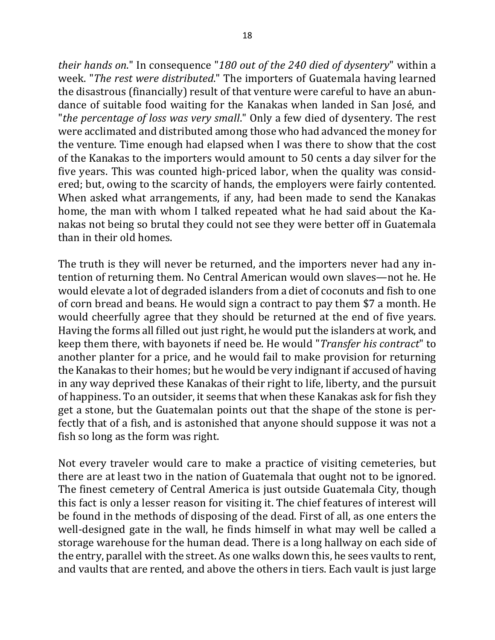*their hands on.*" In consequence "180 out of the 240 died of dysentery" within a week. "The rest were distributed." The importers of Guatemala having learned the disastrous (financially) result of that venture were careful to have an abundance of suitable food waiting for the Kanakas when landed in San José, and "*the percentage of loss was very small*." Only a few died of dysentery. The rest were acclimated and distributed among those who had advanced the money for the venture. Time enough had elapsed when I was there to show that the cost of the Kanakas to the importers would amount to 50 cents a day silver for the five years. This was counted high-priced labor, when the quality was considered; but, owing to the scarcity of hands, the employers were fairly contented. When asked what arrangements, if any, had been made to send the Kanakas home, the man with whom I talked repeated what he had said about the Kanakas not being so brutal they could not see they were better off in Guatemala than in their old homes.

The truth is they will never be returned, and the importers never had any intention of returning them. No Central American would own slaves—not he. He would elevate a lot of degraded islanders from a diet of coconuts and fish to one of corn bread and beans. He would sign a contract to pay them \$7 a month. He would cheerfully agree that they should be returned at the end of five years. Having the forms all filled out just right, he would put the islanders at work, and keep them there, with bayonets if need be. He would "*Transfer his contract*" to another planter for a price, and he would fail to make provision for returning the Kanakas to their homes; but he would be very indignant if accused of having in any way deprived these Kanakas of their right to life, liberty, and the pursuit of happiness. To an outsider, it seems that when these Kanakas ask for fish they get a stone, but the Guatemalan points out that the shape of the stone is perfectly that of a fish, and is astonished that anyone should suppose it was not a fish so long as the form was right.

Not every traveler would care to make a practice of visiting cemeteries, but there are at least two in the nation of Guatemala that ought not to be ignored. The finest cemetery of Central America is just outside Guatemala City, though this fact is only a lesser reason for visiting it. The chief features of interest will be found in the methods of disposing of the dead. First of all, as one enters the well-designed gate in the wall, he finds himself in what may well be called a storage warehouse for the human dead. There is a long hallway on each side of the entry, parallel with the street. As one walks down this, he sees vaults to rent, and vaults that are rented, and above the others in tiers. Each vault is just large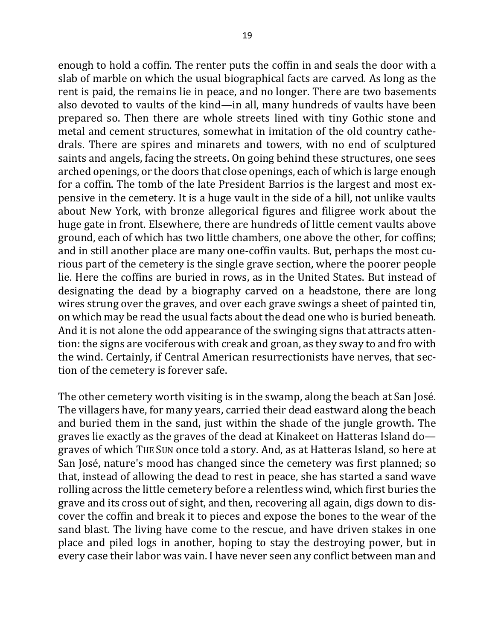enough to hold a coffin. The renter puts the coffin in and seals the door with a slab of marble on which the usual biographical facts are carved. As long as the rent is paid, the remains lie in peace, and no longer. There are two basements also devoted to vaults of the kind—in all, many hundreds of vaults have been prepared so. Then there are whole streets lined with tiny Gothic stone and metal and cement structures, somewhat in imitation of the old country cathedrals. There are spires and minarets and towers, with no end of sculptured saints and angels, facing the streets. On going behind these structures, one sees arched openings, or the doors that close openings, each of which is large enough for a coffin. The tomb of the late President Barrios is the largest and most expensive in the cemetery. It is a huge vault in the side of a hill, not unlike vaults about New York, with bronze allegorical figures and filigree work about the huge gate in front. Elsewhere, there are hundreds of little cement vaults above ground, each of which has two little chambers, one above the other, for coffins; and in still another place are many one-coffin vaults. But, perhaps the most curious part of the cemetery is the single grave section, where the poorer people lie. Here the coffins are buried in rows, as in the United States. But instead of designating the dead by a biography carved on a headstone, there are long wires strung over the graves, and over each grave swings a sheet of painted tin, on which may be read the usual facts about the dead one who is buried beneath. And it is not alone the odd appearance of the swinging signs that attracts attention: the signs are vociferous with creak and groan, as they sway to and fro with the wind. Certainly, if Central American resurrectionists have nerves, that section of the cemetery is forever safe.

The other cemetery worth visiting is in the swamp, along the beach at San José. The villagers have, for many years, carried their dead eastward along the beach and buried them in the sand, just within the shade of the jungle growth. The graves lie exactly as the graves of the dead at Kinakeet on Hatteras Island  $do$ graves of which THE SUN once told a story. And, as at Hatteras Island, so here at San José, nature's mood has changed since the cemetery was first planned; so that, instead of allowing the dead to rest in peace, she has started a sand wave rolling across the little cemetery before a relentless wind, which first buries the grave and its cross out of sight, and then, recovering all again, digs down to discover the coffin and break it to pieces and expose the bones to the wear of the sand blast. The living have come to the rescue, and have driven stakes in one place and piled logs in another, hoping to stay the destroying power, but in every case their labor was vain. I have never seen any conflict between man and